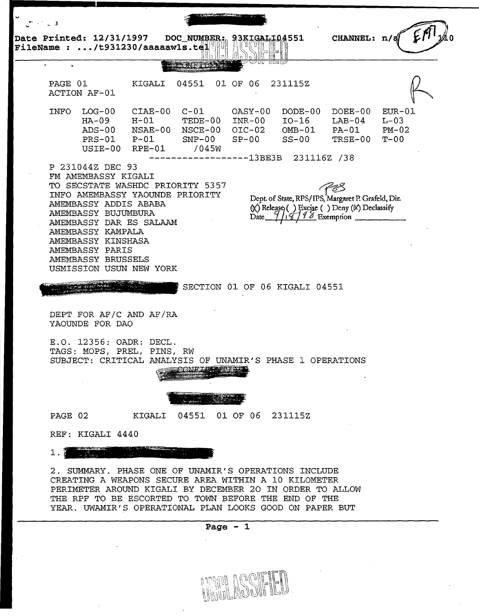

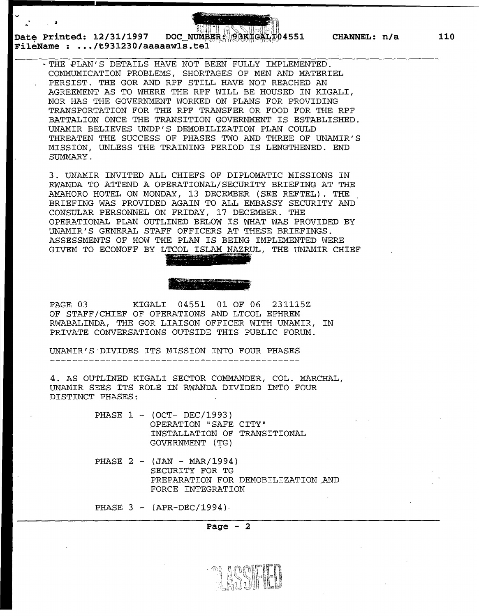Date Printed: 12/31/1997 DOC\_NUMBER: 93KHGALL04551 CHANNEL: n/a **FileName : ... /t931230/aaaaawls.te** 

. "

> ~THE ~LAN'S DETAILS HAVE NOT BEEN FULLY IMPLEMENTED. COMMUNICATION PROBLEMS, SHORTAGES OF MEN AND MATERIEL PERSIST. THE GOR AND RPF STILL HAVE NOT REACHED AN AGREEMENT AS TO WHERE THE RPF WILL BE HOUSED IN KIGALI, NOR HAS THE GOVERNMENT WORKED ON PLANS FOR PROVIDING TRANSPORTATION FOR THE RPF TRANSFER OR FOOD FOR THE RPF BATTALION ONCE THE TRANSITION GOVERNMENT IS ESTABLISHED. UNAMIR BELIEVES UNDP'S DEMOBILIZATION PLAN COULD THREATEN THE SUCCESS OF PHASES TWO AND THREE OF UNAMIR'S MISSION, UNLESS THE TRAINING PERIOD IS LENGTHENED. END SUMMARY.

3. UNAMIR INVITED ALL CHIEFS OF DIPLOMATIC MISSIONS IN RWANDA TO ATTEND A OPERATIONAL/SECURITY BRIEFING AT THE AMAHORO HOTEL ON MONDAY, 13 DECEMBER (SEE REFTEL). THE BRIEFING WAS PROVIDED AGAIN TO ALL EMBASSY SECURITY AND CONSULAR PERSONNEL ON FRIDAY, 17 DECEMBER. THE OPERATIONAL PLAN OUTLINED BELOW IS WHAT WAS PROVIDED BY UNAMIR'S GENERAL STAFF OFFICERS AT THESE BRIEFINGS. ASSESSMENTS OF HOW THE PLAN IS BEING IMPLEMENTED WERE GIVEM TO ECONOFF BY LTCOL ISLAM NAZRUL, THE UNAMIR CHIEF ~ ~~~~-·-~';;7.,.,..;.;;-s;.- *-.;::-* ~--:"' .....  $~\sim$   $~\sim$  ,  $~\sim$   $~\sim$   $~\sim$   $~\sim$   $~\sim$   $~\sim$   $~\sim$   $~\sim$   $~\sim$   $~\sim$   $~\sim$   $~\sim$   $~\sim$   $~\sim$   $~\sim$   $~\sim$   $~\sim$   $~\sim$   $~\sim$   $~\sim$   $~\sim$   $~\sim$   $~\sim$   $~\sim$   $~\sim$   $~\sim$   $~\sim$   $~\sim$   $~\sim$   $~\sim$   $~\sim$   $~\sim$   $~\sim$   $~\sim$   $~\$ 

PAGE 03 KIGALI 04551 01 OF 06 231115Z OF STAFF/CHIEF OF OPERATIONS AND LTCOL EPHREM RWABALINDA, THE GOR LIAISON OFFICER WITH UNAMIR, IN PRIVATE CONVERSATIONS OUTSIDE THIS PUBLIC FORUM.

UNAMIR'S·DIVIDES ITS MISSION INTO FOUR PHASES

4. AS OUTLINED KIGALI SECTOR COMMANDER, COL. MARCHAL, UNAMIR SEES ITS ROLE IN RWANDA DIVIDED INTO FOUR DISTINCT PHASES:

> PHASE 1 - (OCT- DEC/1993) OPERATION "SAFE CITY" INSTALLATION OF TRANSITIONAL GOVERNMENT (TG)

PHASE  $2 - (JAN - MAR/1994)$ SECURITY FOR TG PREPARATION FOR DEMOBILIZATION,AND FORCE INTEGRATION

PHASE  $3 - (APR-DEC/1994)$ .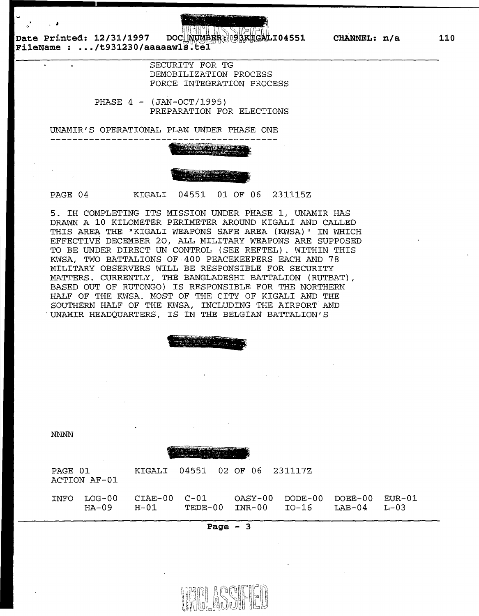DOC NUMBER: 93KTGALI04551 CHANNEL: n/a

**Date Printed: 12/31/1997 FileName : .•. /t931230/aaaaawl** 

 $\mathbf{A}^{\dagger}$ 

SECURITY FOR TG DEMOBILIZATION PROCESS FORCE INTEGRATION PROCESS

PHASE 4 - (JAN-OCT/1995) PREPARATION FOR ELECTIONS

UNAMIR' S OPERATIONAL PLAN UNDER PHASE ONE --------------------

PAGE 04 KIGALI 04551 01 OF 06 231115Z

5. IH COMPLETING ITS MISSION UNDER PHASE *1* <sup>1</sup>UNAMIR HAS DRAWN A 10 KILOMETER PERIMETER AROUND KIGALI AND CALLED THIS AREA THE "KIGALI WEAPONS SAFE AREA (KWSA)" IN WHICH EFFECTIVE DECEMBER *20 <sup>1</sup>*ALL MILITARY WEAPONS ARE SUPPOSED TO BE UNDER DIRECT UN CONTROL (SEE REFTEL). WITHIN THIS KWSA, TWO BATTALIONS OF 400 PEACEKEEPERS EACH AND 78 MILITARY OBSERVERS WILL BE RESPONSIBLE FOR SECURITY MATTERS. CURRENTLY, THE BANGLADESHI BATTALION (RUTBAT), BASED OUT OF RUTONGO) IS RESPONSIBLE FOR THE NORTHERN HALF OF THE KWSA. MOST OF THE CITY OF KIGALI AND THE SOUTHERN HALF OF THE KWSA, INCLUDING THE AIRPORT AND "UNAMIR HEADQUARTERS/ IS IN THE BELGIAN BATTALION'S

> ':¥~ ~- --~~"'·-'!' ;"'":;.;..~ .... ~~·-:··~~".- "'. ~ ~ ~. ~~

NNNN



| PAGE 01 | ACTION AF-01    |      | KIGALI 04551 02 OF 06 231117Z |                                                                              |  |
|---------|-----------------|------|-------------------------------|------------------------------------------------------------------------------|--|
| INFO    | LOG-00<br>HA-09 | H-01 | CIAE-00 C-01                  | OASY-00 DODE-00 DOEE-00 EUR-01<br>$TEDE-00$ $INR-00$ $IO-16$ $LAB-04$ $L-03$ |  |

**Page - 3** 



**110**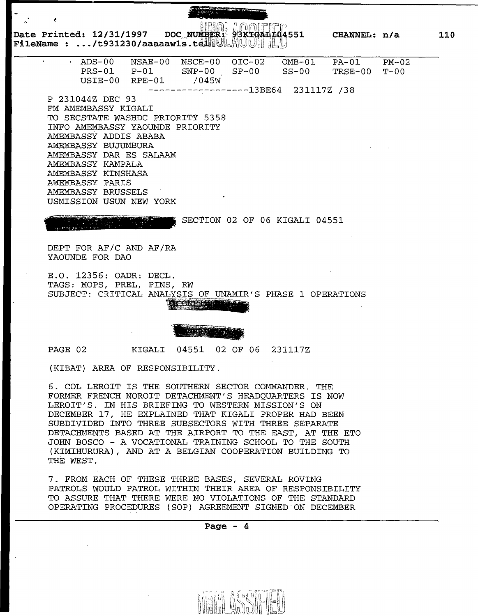D~te " **Printed: 12/31/1997** DOC\_~B,, flHQ~i'~~ :'! f\rlll~L~fl1f~ <sup>11</sup> 3K ,q- I-,0 **\_551 F1leName** : •• **• /t931230/aaaaawls.** tlrutWltl~~~~ I ~jJ **CHANNEL: n/a** 

| $\bullet$ .     | ADS-00                          | NSAE-00  | NSCE-00                          | $OIC-02$          | $OMB-01$    | $PA-01$ | $PM-02$  |  |  |
|-----------------|---------------------------------|----------|----------------------------------|-------------------|-------------|---------|----------|--|--|
|                 | $PRS-01$                        | $P-01$   | $SNP-00$                         | $SP-00$           | $SS-00$     | TRSE-00 | $T - 00$ |  |  |
|                 | USIE-00                         | $RPE-01$ | /045W                            |                   |             |         |          |  |  |
|                 |                                 |          |                                  | $---------13BE64$ | 231117Z /38 |         |          |  |  |
|                 | P 231044Z DEC 93                |          |                                  |                   |             |         |          |  |  |
|                 | FM AMEMBASSY KIGALI             |          |                                  |                   |             |         |          |  |  |
|                 |                                 |          | TO SECSTATE WASHDC PRIORITY 5358 |                   |             |         |          |  |  |
|                 | INFO AMEMBASSY YAOUNDE PRIORITY |          |                                  |                   |             |         |          |  |  |
|                 | AMEMBASSY ADDIS ABABA           |          |                                  |                   |             |         |          |  |  |
|                 | AMEMBASSY BUJUMBURA             |          |                                  |                   |             |         |          |  |  |
|                 | AMEMBASSY DAR ES SALAAM         |          |                                  |                   |             |         |          |  |  |
|                 | AMEMBASSY KAMPALA               |          |                                  |                   |             |         |          |  |  |
|                 | AMEMBASSY KINSHASA              |          |                                  |                   |             |         |          |  |  |
| AMEMBASSY PARIS |                                 |          |                                  |                   |             |         |          |  |  |
|                 | AMEMBASSY BRUSSELS              |          |                                  |                   |             |         |          |  |  |
|                 | USMISSION USUN NEW              | YORK     |                                  |                   |             |         |          |  |  |
|                 |                                 |          |                                  |                   |             |         |          |  |  |

### ... • ... • ... • ... • ... • ... • ... • ... • ... • ... • ... • ... • ... • ... • ... • ... • ... • ... • ..  $\bullet$  ,  $\mu$  and  $\mu$  is the form  $\bullet$  (see ). The form of  $\mu$  -  $\mu$  -  $\mu$

 $\cdot$   $\cdot$   $\cdot$ 

SECTION 02 OF 06 KIGALI 04551

DEPT FOR AF/C AND AF/RA YAOUNDE FOR DAO

E.O. 12356: OADR: TAGS: MOPS, PREL, PINS, RW SUBJECT: CRITICAL ANALYSIS OF UNAMIR'S PHASE 1 OPERATIONS

~.· <sup>~</sup>. ~ - <sup>~</sup>·' 1. *::.l!l.tffi* •. • ( '- r' •. ·~~x::e . \_": ..... \_ -

PAGE 02 KIGALI 04551 02 OF 06 231117Z

(KIBAT) AREA OF RESPONSIBILITY.

6. COL LEROIT IS THE SOUTHERN SECTOR COMMANDER. THE FORMER FRENCH NOROIT DETACHMENT'S HEADQUARTERS IS NOW LEROIT'S. IN HIS BRIEFING TO WESTERN MISSION'S ON DECEMBER 17, HE EXPLAINED THAT KIGALI PROPER HAD BEEN SUBDIVIDED INTO THREE SUBSECTORS WITH THREE SEPARATE DETACHMENTS BASED AT THE AIRPORT TO THE EAST, AT THE ETO JOHN BOSCO - A VOCATIONAL TRAINING SCHOOL TO THE SOUTH (KIMIHURURA), AND AT A BELGIAN COOPERATION BUILDING TO THE WEST.

7. FROM EACH OF THESE THREE BASES, SEVERAL ROVING PATROLS WOULD PATROL WITHIN THEIR AREA OF RESPONSIBILITY TO ASSURE THAT THERE WERE NO VIOLATIONS OF THE STANDARD OPERATING PROCEDURES (SOP) AGREEMENT SIGNED·ON DECEMBER

**110**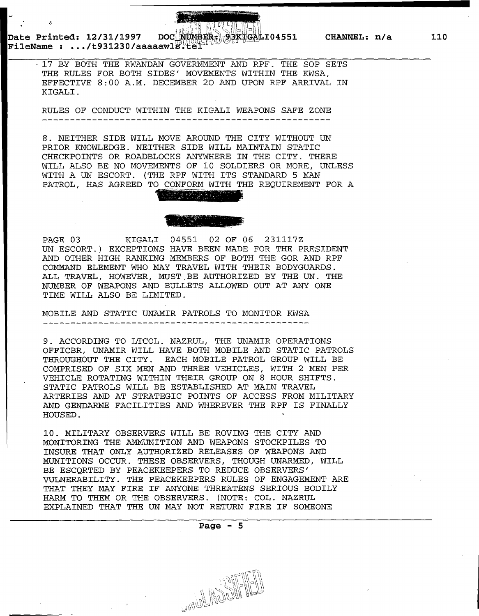Date Printed: 12/31/1997 ~~ DOC<sup>^</sup>NUMBER<sub>:</sub> 08KHGALI04551 ~~ CHANNEL: n/a<br>FileName : .../t931230/aaaaawlS.tel<sup>add</sup>

· 17 BY BOTH THE RWANDAN GOVERNMENT AND RPF. THE SOP SETS THE RULES FOR BOTH SIDES' MOVEMENTS WITHIN THE KWSA, EFFECTIVE 8:00 A.M. DECEMBER 20 AND UPON RPF ARRIVAL IN KIGALI.

RULES OF CONDUCT WITHIN THE KIGALI WEAPONS SAFE ZONE

8. NEITHER SIDE WILL MOVE AROUND THE CITY WITHOUT UN PRIOR KNOWLEDGE. NEITHER SIDE WILL MAINTAIN STATIC CHECKPOINTS OR ROADBLOCKS ANYWHERE IN THE CITY. THERE WILL ALSO BE NO MOVEMENTS OF 10 SOLDIERS OR MORE, UNLESS WITH A UN ESCORT. (THE RPF WITH ITS STANDARD 5 MAN PATROL, HAS AGREED TO CONFORM WITH THE REQUIREMENT FOR A

PAGE 03 KIGALI 04551 02 OF 06 231117Z UN ESCORT.) EXCEPTIONS HAVE BEEN MADE FOR THE PRESIDENT AND OTHER HIGH RANKING MEMBERS OF BOTH THE GOR AND RPF COMMAND ELEMENT WHO MAY TRAVEL WITH THEIR BODYGUARDS. ALL TRAVEL, HOWEVER, MUST.BE AUTHORIZED BY THE UN. THE NUMBER OF WEAPONS AND BULLETS ALLOWED OUT AT ANY ONE TIME WILL ALSO BE LIMITED.

MOBILE AND STATIC UNAMIR PATROLS TO MONITOR KWSA

9. ACCORDING TO LTCOL. NAZRUL, THE UNAMIR OPERATIONS OFFICER, UNAMIR WILL HAVE BOTH MOBILE AND STATIC PATROLS THROUGHOUT THE CITY. EACH MOBILE PATROL GROUP WILL BE COMPRISED OF SIX MEN AND THREE VEHICLES, WITH 2 MEN PER VEHICLE ROTATING WITHIN THEIR GROUP ON 8 HOUR SHIFTS. STATIC PATROLS WILL BE ESTABLISHED AT MAIN TRAVEL ARTERIES AND AT STRATEGIC POINTS OF ACCESS FROM MILITARY AND GENDARME FACILITIES AND WHEREVER THE RPF IS FINALLY HOUSED.

10. MILITARY OBSERVERS WILL BE ROVING THE CITY AND MONITORING THE AMMUNITION AND WEAPONS STOCKPILES TO INSURE THAT ONLY AUTHORIZED RELEASES OF WEAPONS AND MUNITIONS OCCUR. THESE OBSERVERS, THOUGH UNARMED, WILL BE ESCORTED BY PEACEKEEPERS TO REDUCE OBSERVERS' VULNERABILITY. THE PEACEKEEPERS RULES OF ENGAGEMENT ARE THAT THEY MAY FIRE IF ANYONE THREATENS SERIOUS BODILY HARM TO THEM OR THE OBSERVERS. (NOTE: COL. NAZRUL EXPLAINED THAT THE UN MAY NOT RETURN FIRE IF SOMEONE

**Page - 5** 

**110**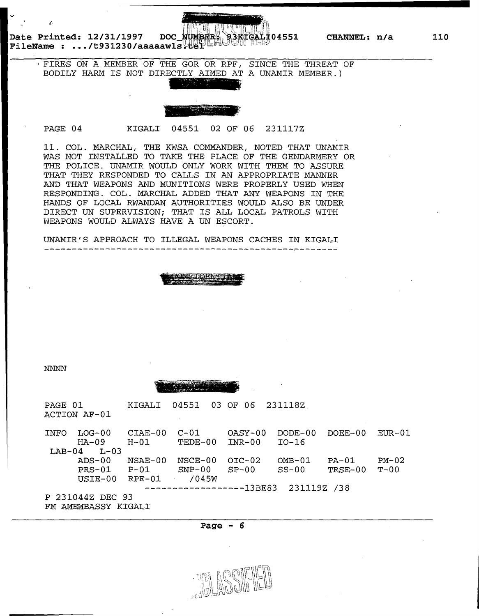Date Printed: 12/31/1997 DOC\_<del>NUMBER 93KTGAH </del>04551 CHANNEL: n/a *FileName* : .../t931230/aaaaawls tel

t.

·FIRES ON A MEMBER OF THE GOR OR RPF, SINCE THE THREAT OF BODILY HARM IS NOT DIRECTLY AIMED AT A UNAMIR MEMBER.)



<sup>~</sup>.

PAGE 04 KIGALI 04551 02 OF 06 231117Z

11. COL. MARCHAL, THE KWSA COMMANDER, NOTED THAT UNAMIR WAS NOT INSTALLED TO TAKE THE PLACE OF THE GENDARMERY OR THE POLICE. UNAMIR WOULD ONLY WORK WITH THEM TO ASSURE THAT THEY RESPONDED TO CALLS IN AN APPROPRIATE MANNER AND THAT WEAPONS AND MUNITIONS WERE PROPERLY USED WHEN RESPONDING. COL. MARCHAL ADDED THAT ANY WEAPONS IN THE HANDS OF LOCAL RWANDAN AUTHORITIES WOULD ALSO BE UNDER DIRECT UN SUPERVISION; THAT IS ALL LOCAL PATROLS WITH WEAPONS WOULD ALWAYS HAVE A UN ESCORT.

UNAMIR'S APPROACH TO ILLEGAL WEAPONS CACHES IN KIGALI



NNNN



| PAGE 01 | ACTION AF-01      | KIGALI          | 04551                   | 03 OF 06          | 2311182              |           |          |
|---------|-------------------|-----------------|-------------------------|-------------------|----------------------|-----------|----------|
| INFO    | $LOG-00$<br>HA-09 | CIAE-00<br>H-01 | $C-01$<br>TEDE-00       | OASY-00<br>INR-00 | $DODE-00$<br>$IO-16$ | $DOEE-00$ | $EUR-01$ |
| LAB-04  | $L - 03$          |                 |                         |                   |                      |           |          |
|         | ADS-00            | NSAE-00         | NSCE-00                 | $OIC-02$          | $OMB-01$             | $PA-01$   | $PM-02$  |
|         | $PRS-01$          | $P-01$          | $SNP-00$                | $SP-00$           | $SS-00$              | TRSE-00   | $T - 00$ |
|         | USIE-00           | RPE-01          | /045W                   |                   |                      |           |          |
|         |                   |                 | -----------------13BE83 |                   | 231119Z /38          |           |          |
|         | P 231044Z DEC 93  |                 |                         |                   |                      |           |          |

FM AMEMBASSY KIGALI

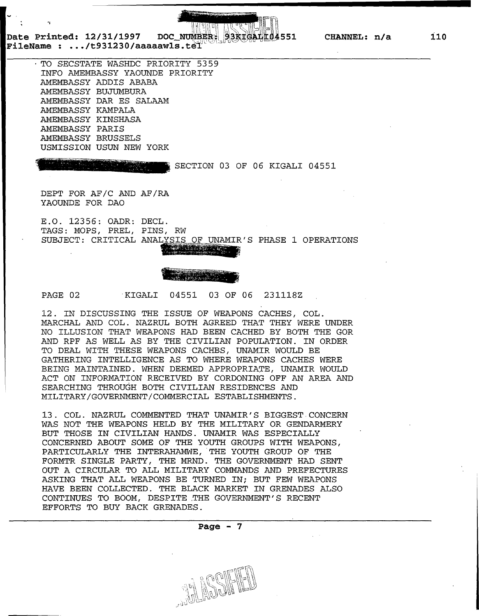**Date Printed: 12/31/1997**  Date Printed: 12/31/1997 DOC\_NUMBER;<br>FileName : .../t931230/aaaaawls.tel

.,

· TO SECSTATE WASHDC PRIORITY 5359 INFO AMEMBASSY YAOUNDE PRIORITY AMEMBASSY ADDIS ABABA AMEMBASSY BUJUMBURA AMEMBASSY DAR ES SALAAM AMEMBASSY KAMPALA AMEMBASSY KINSHASA AMEMBASSY PARIS AMEMBASSY BRUSSELS USMISSION USUN NEW YORK

·r:rG < ·-- ,· ., :~.-,"~~"'"'""""'" <sup>W</sup>  $\frac{1}{2}$  SECTION 03 OF 06 KIGALI 04551

93kTGALL04551

DEPT FOR AF/C AND AF/RA YAOUNDE FOR DAO

E.O. 12356: OADR: DECL. TAGS: MOPS, PREL, PINS, RW SUBJECT: CRITICAL ANALYSIS OF UNAMIR'S PHASE 1 OPERATIONS



PAGE 02 KIGALI 04551 03 OF 06 231118Z

12. IN DISCUSSING THE ISSUE OF WEAPONS CACHES, COL. MARCHAL AND COL. NAZRUL BOTH AGREED THAT THEY WERE UNDER NO ILLUSION THAT WEAPONS HAD BEEN CACHED BY BOTH THE GOR AND RPF AS WELL AS BY THE CIVILIAN POPULATION. IN ORDER TO DEAL WITH THESE WEAPONS CACHES, UNAMIR WOULD BE GATHERING INTELLIGENCE AS TO WHERE WEAPONS CACHES WERE BEING MAINTAINED. WHEN DEEMED APPROPRIATE, UNAMIR WOULD ACT ON INFORMATION RECEIVED BY CORDONING OFF AN AREA AND SEARCHING THROUGH BOTH CIVILIAN RESIDENCES AND MILITARY/GOVERNMENT/COMMERCIAL ESTABLISHMENTS.

13. COL. NAZRUL COMMENTED THAT UNAMIR'S BIGGEST CONCERN WAS NOT THE WEAPONS HELD BY THE MILITARY OR GENDARMERY BUT THOSE IN CIVILIAN HANDS. UNAMIR WAS ESPECIALLY CONCERNED ABOUT SOME OF THE YOUTH GROUPS WITH WEAPONS, PARTICULARLY THE INTERAHAMWE, THE YOUTH GROUP OF THE FORMTR SINGLE PARTY, THE MRND. THE GOVERNMENT HAD SENT OUT A CIRCULAR TO ALL MILITARY COMMANDS AND PREFECTURES ASKING THAT ALL WEAPONS BE TURNED IN; BUT FEW WEAPONS HAVE BEEN COLLECTED. THE BLACK MARKET IN GRENADES ALSO CONTINUES TO BOOM, DESPITE .THE GOVERNMENT'S RECENT EFFORTS TO BUY BACK GRENADES.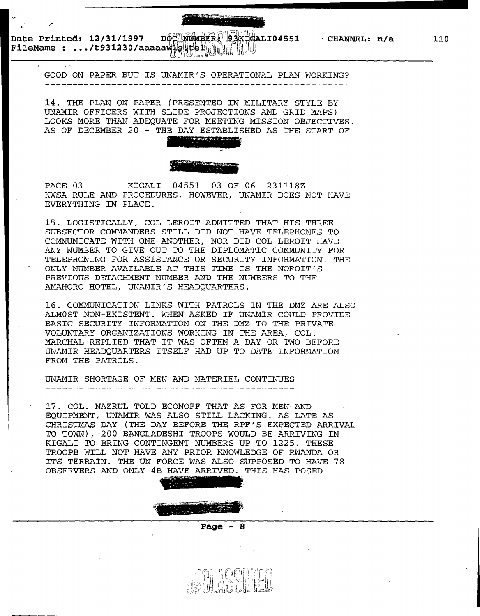\_\_\_\_\_\_\_\_\_\_\_\_\_\_\_\_\_\_\_\_\_\_\_\_ ........... ..

Date Printed: 12/31/1997 D\$& **\\\\\\$£R\\\\$3KT&ALI04551 FILENANNEL: n/a** ... /t931230/aaaaaw18.

.

GOOD ON PAPER BUT IS UNAMIR'S OPERATIONAL PLAN WORKING?

14. THE PLAN ON PAPER (PRESENTED IN MILITARY STYLE BY UNAMIR OFFICERS WITH SLIDE PROJECTIONS AND GRID MAPS) LOOKS MORE THAN ADEQUATE FOR MEETING MISSION OBJECTIVES. AS OF DECEMBER 20 - THE DAY ESTABLISHED AS THE START OF



'PAGE 03 KIGALI 04551 03 OF 06 231118Z KWSA RULE AND PROCEDURES, HOWEVER, UNAMIR DOES NOT HAVE EVERYTHING IN PLACE.

15. LOGISTICALLY, COL LEROIT ADMITTED THAT HIS THREE SUBSECTOR COMMANDERS STILL DID NOT HAVE TELEPHONES TO COMMUNICATE WITH ONE ANOTHER, NOR DID COL LEROIT HAVE ANY NUMBER TO GIVE OUT TO THE DIPLOMATIC COMMUNITY FOR TELEPHONING FOR ASSISTANCE OR SECURITY INFORMATION. THE ONLY NUMBER AVAILABLE AT THIS TIME IS THE NOROIT'S PREVIOUS DETACHMENT NUMBER AND THE NUMBERS TO THE AMAHORO HOTEL, UNAMIR'S HEADQUARTERS.

16. COMMUNICATION LINKS WITH PATROLS IN THE DMZ ARE ALSO ALMOST NON-EXISTENT. WHEN ASKED IF UNAMIR COULD PROVIDE BASIC SECURITY INFORMATION ON THE DMZ TO THE PRIVATE VOLUNTARY ORGANIZATIONS WORKING IN THE AREA, COL. MARCHAL REPLIED THAT IT WAS OFTEN A DAY OR TWO BEFORE UNAMIR HEADQUARTERS ITSELF HAD UP TO DATE INFORMATION FROM THE PATROLS.

UNAMIR SHORTAGE OF MEN AND MATERIEL CONTINUES ---------------

17. COL. NAZRUL TOLD ECONOFF THAT AS FOR MEN· AND EQUIPMENT, UNAMIR WAS ALSO STILL LACKING. AS LATE AS CHRISTMAS DAY (THE DAY BEFORE THE RPF'S EXPECTED ARRIVAL TO TOWN), 200 BANGLADESHI TROOPS WOULD BE ARRIVING IN KIGALI TO BRING CONTINGENT NUMBERS UP TO 1225. THESE TROOPB WILL NOT HAVE ANY PRIOR KNOWLEDGE OF RWANDA OR ITS TERRAIN. THE UN FORCE WAS ALSO SUPPOSED TO HAVE 78 OBSERVERS AND ONLY 4B HAVE ARRIVED. THIS HAS POSED



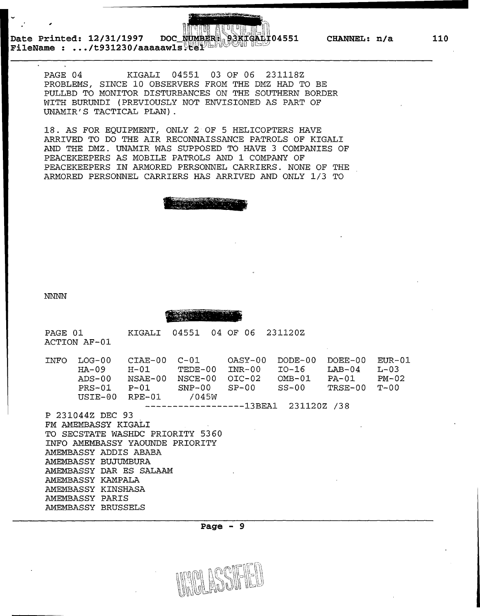**Date Printed: 12/31/1997 FileName : ... /t931230/aaaaawls 04551 CHANNEL: n/a** 

,;



PAGE 04 KIGALI 04551 03 OF 06 231118Z PROBLEMS, SINCE 10 OBSERVERS FROM THE DMZ HAD TO BE PULLED TO MONITOR DISTURBANCES ON THE SOUTHERN BORDER WITH BURUNDI (PREVIOUSLY NOT ENVISIONED AS PART OF UNAMIR'S TACTICAL PLAN).

18. AS FOR EQUIPMENT, ONLY 2 OF 5 HELICOPTERS HAVE ARRIVED TO DO THE AIR RECONNAISSANCE PATROLS OF KIGALI AND THE DMZ. UNAMIR WAS SUPPOSED TO HAVE 3 COMPANIES OF PEACEKEEPERS AS MOBILE PATROLS AND 1 COMPANY OF PEACEKEEPERS IN ARMORED PERSONNEL CARRIERS. NONE OF THE ARMORED PERSONNEL CARRIERS HAS ARRIVED AND ONLY l/3 TO

> $\frac{1}{2}$  . The state of  $\frac{1}{2}$  , ... , ... , ... , ... , ... , ... , ... , ... , ... , ... , ... , ... , ... , ... , ... , ... , ... , ... , ... , ... , ... , ... , ... , ... , ... , ... , ... , ... , ... , ... , ...  $~\sim$   $~\sim$   $~\sim$   $~\sim$   $~\sim$   $~\sim$   $~\sim$   $~\sim$   $~\sim$   $~\sim$   $~\sim$   $~\sim$   $~\sim$   $~\sim$   $~\sim$   $~\sim$   $~\sim$   $~\sim$   $~\sim$   $~\sim$   $~\sim$   $~\sim$   $~\sim$   $~\sim$   $~\sim$   $~\sim$   $~\sim$   $~\sim$   $~\sim$   $~\sim$   $~\sim$   $~\sim$   $~\sim$   $~\sim$   $~\sim$   $~\sim$   $~\sim$

NNNN

 $\sim$   $\frac{1}{2}$ 

PAGE 01 ACTION AF-01 KIGALI 04551 04 OF 06 231120Z INFO LOG-00 HA-09 ADS-00 PRS-01 P-01 SNP-00 USIE-00 CIAE-00 C-Ol H-01 TEDE-00 INR-00 I0-16 NSAE-00 NSCE-00 OIC-02 OMB-01 PA-01 RPE-01 /045W OASY-00 DODE-00 DOEE-00 EUR-01  $SNP-00$   $SP-00$ ------------------13BEA1 231120Z /38 P 231044Z DEC 93 FM AMEMBASSY KIGALI TO SECSTATE WASHDC PRIORITY 5360 INFO AMEMBASSY YAOUNDE PRIORITY AMEMBASSY ADDIS ABABA AMEMBASSY BUJUMBURA SS-00  $LAB-04$ TRSE-00 T-OO  $L - 03$ PM-02

AMEMBASSY DAR ES SALAAM AMEMBASSY KAMPALA AMEMBASSY KINSHASA

AMEMBASSY PARIS AMEMBASSY BRUSSELS

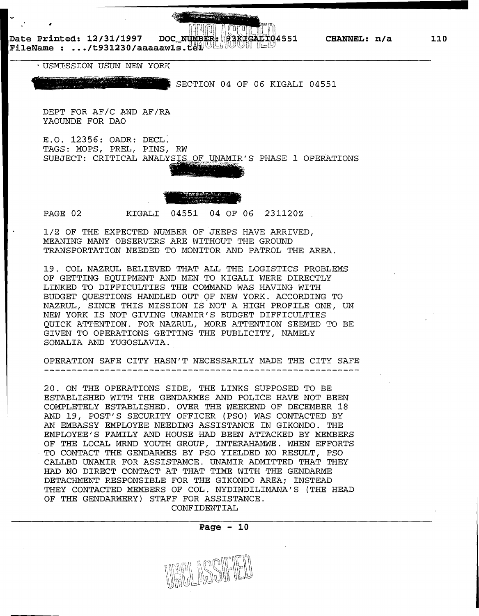**Date Printed: 12/31/1997 Date Printed: 12/31/1997 DOC NUMBER: 38 FEAT 104551**<br>FileName : .../t931230/aaaaawls.ter

· USM:GSSION USUN NEW YORK

SECTION 04 OF 06 KIGALI 04551

DEPT FOR AF/C AND AF/RA YAOUNDE FOR DAO

E.O. 12356: OADR: DECL. TAGS: MOPS, PREL, PINS, RW SUBJECT: CRITICAL ANALYSIE OF UNAMIR'S PHASE 1 OPERATIONS

' ~ "'· -



 $\mathcal{P}^{\text{max}}_{\text{max}}$  . The second part  $\mathcal{P}^{\text{max}}_{\text{max}}$ 

PAGE 02 KIGALI 04551 04 OF 06 231120Z

1/2 OF THE EXPECTED NUMBER OF JEEPS HAVE ARRIVED, MEANING MANY OBSERVERS ARE WITHOUT THE GROUND TRANSPORTATION NEEDED TO MONITOR AND PATROL THE AREA.

19. COL NAZRUL BELIEVED THAT ALL THE LOGISTICS PROBLEMS OF GETTING EQUIPMENT AND MEN TO KIGALI WERE DIRECTLY LINKED TO DIFFICULTIES THE COMMAND WAS HAVING WITH BUDGET QUESTIONS HANDLED OUT QF NEW YORK. ACCORDING TO NAZRUL, SINCE THIS MISSION IS NOT A HIGH PROFILE ONE, UN NEW YORK IS NOT GIVING UNAMIR'S BUDGET DIFFICULTIES QUICK ATTENTION. FOR NAZRUL, MORE ATTENTION SEEMED TO BE GIVEN TO OPERATIONS GETTING THE PUBLICITY, NAMELY SOMALIA AND YUGOSLAVIA.

OPERATION SAFE CITY HASN'T NECESSARILY MADE THE CITY SAFE 

20. ON THE OPERATIONS SIDE, THE LINKS SUPPOSED TO BE ESTABLISHED WITH THE GENDARMES AND POLICE HAVE NOT BEEN COMPLETELY ESTABLISHED. OVER THE WEEKEND OF DECEMBER 18 AND 19, POST'S SECURITY OFFICER (PSO) WAS CONTACTED BY AN EMBASSY EMPLOYEE NEEDING ASSISTANCE IN GIKONDO. THE EMPLOYEE'S FAMILY AND HOUSE HAD BEEN ATTACKED BY MEMBERS OF THE LOCAL MRND YOUTH GROUP, INTERAHAMWE. WHEN EFFORTS TO CONTACT THE GENDARMES BY PSO YIELDED NO RESULT, PSO CALLED UNAMIR FOR ASSISTANCE. UNAMIR ADMITTED THAT THEY HAD NO DIRECT CONTACT AT THAT TIME WITH THE GENDARME DETACHMENT RESPONSIBLE FOR THE GIKONDO AREA; INSTEAD THEY CONTACTED MEMBERS OF COL. NYDINDILIMANA'S (THE HEAD OF THE GENDARMERY) STAFF FOR ASSISTANCE. CONFIDENTIAL

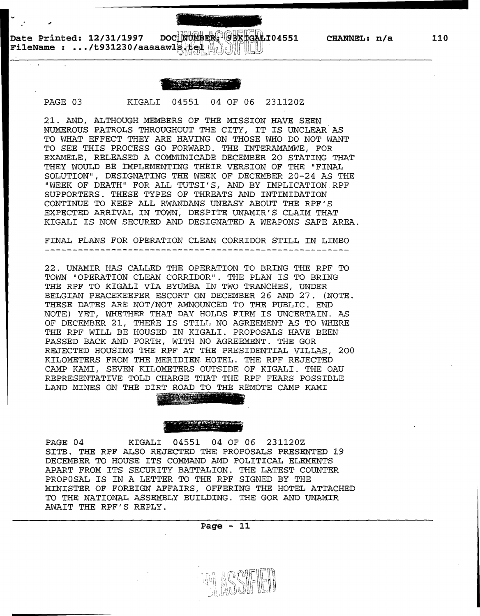**CHANNEL:** n/a

\_\_\_\_\_\_\_\_\_\_\_\_\_\_\_\_\_\_\_\_\_\_\_\_ ........... ..

i....... ~,~""-''·"~·~-

- -

PAGE 03 KIGALI 04551 04 OF 06 231120Z

21. AND, ALTHOUGH MEMBERS OF THE MISSION HAVE SEEN NUMEROUS PATROLS THROUGHOUT THE CITY, IT IS UNCLEAR AS TO WHAT EFFECT THEY ARE HAVING ON THOSE WHO DO NOT WANT TO SEE THIS PROCESS GO FORWARD. THE INTERAMAMWE, FOR EXAMELE, RELEASED A COMMUNICADE DECEMBER 20 STATING THAT THEY WOULD BE IMPLEMENTING THEIR VERSION OF THE "FINAL SOLUTION", DESIGNATING THE WEEK OF DECEMBER 20-24 AS THE "WEEK OF DEATH" FOR ALL TUTSI'S, AND BY IMPLICATION.RPF SUPPORTERS. THESE TYPES OF THREATS AND INTIMIDATION CONTINUE TO KEEP ALL RWANDANS UNEASY ABOUT THE RPF'S EXPECTED ARRIVAL IN TOWN, DESPITE UNAMIR'S CLAIM THAT KIGALI IS NOW SECURED AND DESIGNATED A WEAPONS SAFE AREA.

FINAL PLANS FOR OPERATION CLEAN CORRIDOR STILL IN LIMBO

22. UNAMIR HAS CALLED THE OPERATION TO BRING THE RPF TO TOWN "OPERATION CLEAN CORRIDOR". THE PLAN IS TO BRING THE RPF TO KIGALI VIA BYUMBA IN TWO TRANCHES, UNDER BELGIAN PEACEKEEPER ESCORT ON DECEMBER 26 AND 27. (NOTE. THESE DATES ARE NOT/NOT ANNOUNCED TO THE PUBLIC. END NOTE) YET, WHETHER THAT DAY HOLDS FIRM IS UNCERTAIN. AS OF DECEMBER 21, THERE IS STILL NO AGREEMENT AS TO WHERE THE RPF WILL BE HOUSED IN KIGALI. PROPOSALS HAVE BEEN PASSED BACK AND FORTH, WITH NO AGREEMENT. THE GOR REJECTED HOUSING THE RPF AT THE PRESIDENTIAL VILLAS, 200 KILOMETERS FROM THE MERIDIEN HOTEL. THE RPF REJECTED CAMP KAMI, SEVEN KILOMETERS OUTSIDE OF KIGALI. THE OAU REPRESENTATIVE TOLD CHARGE THAT THE RPF FEARS POSSIBLE LAND MINES ON THE DIRT ROAD TO THE REMOTE CAMP KAMI

### *<sup>H</sup>*• ....,~~ "'~<' Ft..}~!f!"' ~~- =-~tlinol';..,~  $\frac{1}{2}$  . The similar second  $\frac{1}{2}$

~'='~""""""•+''\*<4~..;-""frf: - ~~~ ~~ -

PAGE 04 KIGALI 04551 04 OF 06 231120Z SITB. THE RPF ALSO REJECTED THE PROPOSALS PRESENTED 19 DECEMBER TO HOUSE ITS COMMAND AMD POLITICAL ELEMENTS APART FROM ITS SECURITY BATTALION. THE LATEST COUNTER PROPOSAL IS IN A LETTER TO THE RPF SIGNED BY THE MINISTER OF FOREIGN AFFAIRS, OFFERING THE HOTEL ATTACHED TO THE NATIONAL ASSEMBLY BUILDING. THE GOR AND UNAMIR AWAIT THE RPF'S REPLY.

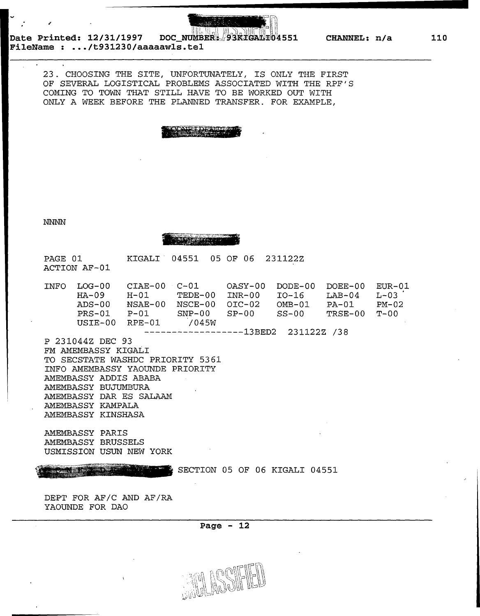

**Date Printed: 12/31/1997 DOC FileName : ... /t931230/aaaaawls.tel** 

> 23. CHOOSING THE SITE, UNFORTUNATELY, IS ONLY THE FIRST OF SEVERAL LOGISTICAL PROBLEMS ASSOCIATED WITH THE RPF'S COMING TO TOWN THAT STILL HAVE TO BE WORKED OUT WITH ONLY A WEEK BEFORE THE PLANNED TRANSFER. FOR EXAMPLE,

NNNN

TEST CONTROL

PAGE 01 ACTION AF-01 KIGALI 04551 05 OF 06 231122Z

| <b>TNFO</b> | T.OG-00.  | $CTAE-00 C-01$ |          | OASY-00    | DODE-00  | DOEE-00  | EUR-01    |
|-------------|-----------|----------------|----------|------------|----------|----------|-----------|
|             | $HA - 09$ | H-01           | TEDE-00  | $TNR - 00$ | IO-16    | $TAB-04$ | $L - 0.3$ |
|             | ADS-00    | NSAE-00        | NSCE-00  | $OTC-02$   | $OMB-01$ | PA-01    | $PM-02$   |
|             | $PRS-01$  | P-01           | $SNP-00$ | - SP-00    | .SS-00   | TRSE-00  | T-00      |
|             | USIE-00   | RPE-01         | 7045W    |            |          |          |           |

------------------13BED2 231122Z *!38* 

P 231044Z DEC 93 FM AMEMBASSY KIGALI TO SECSTATE WASHDC PRIORITY 5361 INFO AMEMBASSY YAOUNDE PRIORITY AMEMBASSY ADDIS ABABA AMEMBASSY BUJUMBURA AMEMBASSY DAR ES SALAAM AMEMBASSY KAMPALA AMEMBASSY KINSHASA

AMEMBASSY PARIS AMEMBASSY BRUSSELS USMISSION USUN NEW YORK

SECTION 05 OF 06 KIGALI 04551

DEPT FOR AF/C AND AF/RA YAOUNDE FOR DAO

**Page - 12** 

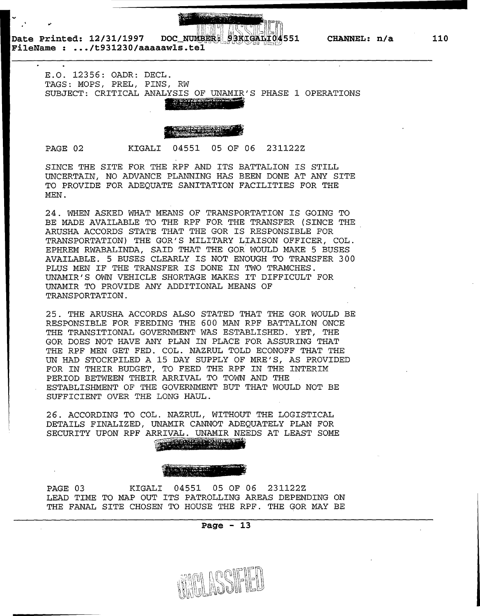**53KTGALI04551 CHANNEL: n/a** 

**Date Printed: 12/31/1997 FileName : ... /t931230/aaaaawls.tel** 

> E.O. 12356: OADR: DECL. TAGS: MOPS, PREL, PINS, RW SUBJECT: CRITICAL ANALYSIS OF UNAMIR'S PHASE 1 OPERATIONS

## NF TPENE

PAGE 02 KIGALI 04551 05 OF 06 231122Z

SINCE THE SITE FOR THE RPF AND ITS BATTALION IS STILL UNCERTAIN, NO ADVANCE PLANNING HAS BEEN DONE AT ANY SITE TO PROVIDE FOR ADEQUATE SANITATION FACILITIES FOR THE MEN.

24. WHEN ASKED WHAT MEANS OF TRANSPORTATION IS GOING TO BE MADE AVAILABLE TO THE RPF FOR THE TRANSFER (SINCE THE ARUSHA ACCORDS STATE THAT THE GOR IS RESPONSIBLE FOR TRANSPORTATION) THE GOR'S MILITARY LIAISON OFFICER, COL. EPHREM RWABALINDA, SAID THAT THE GOR, WOULD MAKE 5 BUSES AVAILABLE. 5 BUSES CLEARLY IS NOT ENOUGH TO TRANSFER 300 PLUS MEN IF THE TRANSFER IS DONE IN TWO TRAMCHES. UNAMIR'S OWN VEHICLE SHORTAGE MAKES IT DIFFICULT FOR UNAMIR TO PROVIDE ANY ADDITIONAL MEANS OF TRANSPORTATION.

25. THE ARUSHA ACCORDS ALSO STATED THAT THE GOR WOULD BE RESPONSIBLE FOR FEEDING THE 600 MAN RPF BATTALION ONCE THE TRANSITIONAL GOVERNMENT WAS ESTABLISHED. YET, THE GOR DOES NOT HAVE ANY PLAN IN PLACE FOR ASSURING THAT THE RPF MEN GET FED. COL. NAZRUL TOLD ECONOFF THAT THE UN HAD STOCKPILED A 15 DAY SUPPLY OF MRE'S, AS PROVIDED FOR IN THEIR BUDGET, TO FEED THE RPF IN THE INTERIM PERIOD BETWEEN THEIR ARRIVAL TO TOWN AND THE ESTABLISHMENT OF THE GOVERNMENT BUT THAT WOULD NOT BE SUFFICIENT OVER THE LONG HAUL.

26. ACCORDING TO COL. NAZRUL, WITHOUT THE LOGISTICAL DETAILS FINALIZED, UNAMIR CANNOT ADEQUATELY PLAN FOR SECURITY UPON RPF ARRIVAL. UNAMIR NEEDS AT LEAST SOME ews a carbitr

PAGE 03 KIGALI 04551 05 OF 06 231122Z LEAD TIME TO MAP OUT ITS PATROLLING AREAS DEPENDING ON THE FANAL SITE CHOSEN TO HOUSE THE RPF. THE GOR MAY BE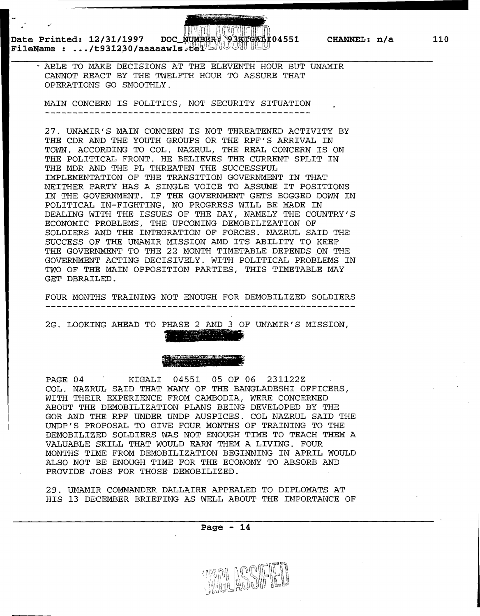# **Date Printed: 12/31/1997** C~~~~~~~~~~ ~n~~~; **04551 CHANNEL: n/a**  *FileName : .../t931230/aaaaawls:*

ABLE TO MAKE DECISIONS AT THE ELEVENTH HOUR BUT UNAMIR CANNOT REACT BY THE TWELFTH HOUR TO ASSURE THAT OPERATIONS GO SMOOTHLY.

MAIN CONCERN IS POLITICS, NOT SECURITY SITUATION --------------------------------------

27. UNAMIR'S MAIN CONCERN IS NOT THREATENED ACTIVITY BY THE CDR AND THE YOUTH GROUPS OR THE RPF'S ARRIVAL IN TOWN. ACCORDING TO COL. NAZRUL, THE REAL CONCERN IS ON THE POLITICAL FRONT. HE BELIEVES THE CURRENT SPLIT IN THE MDR AND THE PL THREATEN THE SUCCESSFUL IMPLEMENTATION OF THE TRANSITION GOVERNMENT IN THAT NEITHER PARTY HAS A SINGLE VOICE TO ASSUME IT POSITIONS IN THE GOVERNMENT. IF THE GOVERNMENT GETS BOGGED DOWN IN POLITICAL IN-FIGHTING, NO PROGRESS WILL BE MADE IN DEALING WITH THE ISSUES OF THE DAY, NAMELY THE COUNTRY'S ECONOMIC PROBLEMS, THE UPCOMING DEMOBILIZATION OF SOLDIERS AND THE INTEGRATION OF FORCES. NAZRUL SAID THE SUCCESS OF THE UNAMIR MISSION AMD ITS ABILITY TO KEEP THE GOVERNMENT TO THE 22 MONTH TIMETABLE DEPENDS ON THE GOVERNMENT ACTING DECISIVELY. WITH POLITICAL PROBLEMS IN TWO OF THE MAIN OPPOSITION PARTIES, THIS TIMETABLE MAY GET DERAILED.

FOUR MONTHS TRAINING NOT ENOUGH FOR DEMOBILIZED SOLDIERS

2G. LOOKING AHEAD TO PHASE 2 AND 3 OF UNAMIR'S MISSION, लिस्कारि के अन्ति ।<br>पुलिस

PAGE 04 KIGALI 04551 OS OF 06 231122Z COL. NAZRUL SAID THAT MANY OF THE BANGLADESHI OFFICERS, WITH THEIR EXPERIENCE FROM CAMBODIA, WERE CONCERNED ABOUT THE DEMOBILIZATION PLANS BEING DEVELOPED BY THE GOR AND THE RPF UNDER UNDP AUSPICES. COL NAZRUL SAID THE UNDP'S PROPOSAL TO GIVE FOUR MONTHS OF TRAINING TO THE DEMOBILIZED SOLDIERS WAS NOT ENOUGH TIME TO TEACH THEM A VALUABLE SKILL THAT WOULD EARN THEM A LIVING. FOUR MONTHS TIME FROM DEMOBILIZATION BEGINNING IN APRIL WOULD ALSO NOT BE ENOUGH TIME FOR THE ECONOMY TO ABSORB AND PROVIDE JOBS FOR THOSE DEMOBILIZED.

29. UMAMIR COMMANDER DALLAIRE APPEALED TO DIPLOMATS AT HIS 13 DECEMBER BRIEFING AS WELL ABOUT THE IMPORTANCE OF

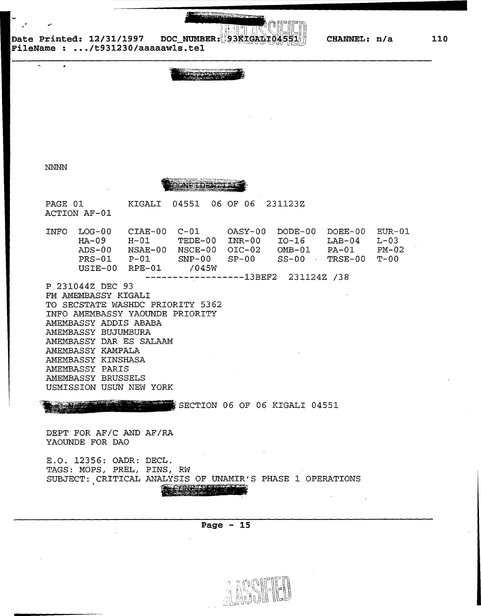**CHANNEL: n/a** 

Date Printed: 12/31/1997 DOC\_NUMBER: 93KIGA! **ileName : ... /t931230/aaaaawls.tel** 

### NNNN

ONETDENT

PAGE 01 KIGALI 04551 06 OF 06 231123Z ACTION AF-01

| INFO | LOG-00  | $CIAE-00$ | $C - 01$                            | OASY-00 | DODE-00  | DOEE-00  | EUR-01    |
|------|---------|-----------|-------------------------------------|---------|----------|----------|-----------|
|      | $HA-09$ | $H - 01$  | TEDE-00                             | INR-00  | $IO-16$  | $LAB-04$ | $L - 0.3$ |
|      | ADS-00  | NSAE-00   | NSCE-00                             | OIC-02  | $OMB-01$ | PA-01    | $PM-02$   |
|      | PRS-01  | $P - 01$  | $SNP-00$                            | $SP-00$ | $SS-00$  | TRSE-00  | . ጥ– 0 0  |
|      | USTE-00 | RPE-01    | 7045W                               |         |          |          |           |
|      |         |           | $---------------13BEF2 231124Z 738$ |         |          |          |           |
|      |         |           |                                     |         |          |          |           |

P 231044Z DEC 93 FM AMEMBASSY KIGALI TO SECSTATE WASHDC PRIORITY 5362 INFO AMEMBASSY YAOUNDE PRIORITY AMEMBASSY ADDIS ABABA AMEMBASSY BUJUMBURA AMEMBASSY DAR ES SALAAM AMEMBASSY KAMPALA AMEMBASSY KINSHASA AMEMBASSY PARIS AMEMBASSY BRUSSELS USMISSION USUN NEW YORK

SECTION 06 OF 06 KIGALI 04551

DEPT FOR AF/C AND AF/RA YAOUNDE FOR DAO

E.O. 12356: OADR: DECL. TAGS: MOPS, PREL, PINS, RW SUBJECT: CRITICAL ANALYSIS OF UNAMIR'S PHASE 1 OPERATIONS